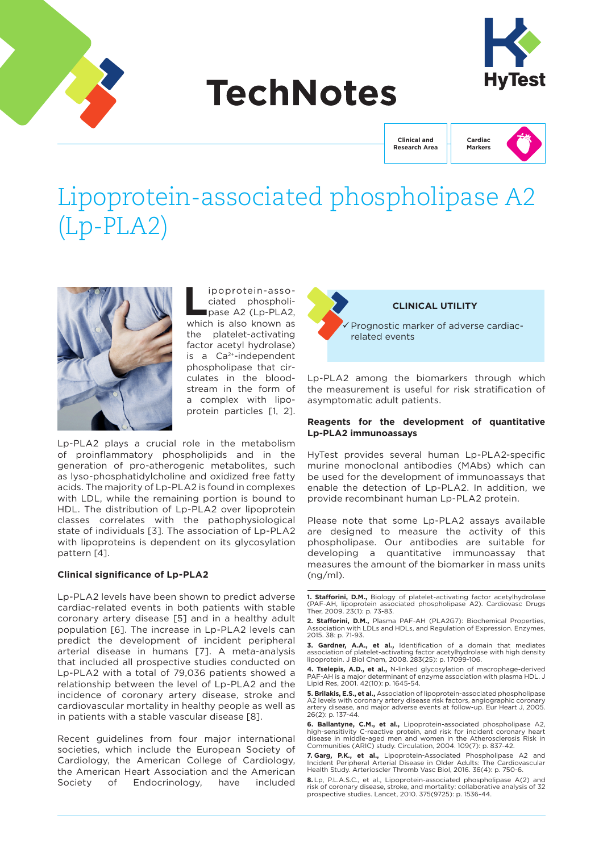

# **TechNotes**



**Clinical and Research Area** **Cardiac Markers**

# Lipoprotein-associated phospholipase A2 (Lp-PLA2)



**Lipoprotein-asso-<br>
ciated phospholi-<br>
pase A2 (Lp-PLA2,<br>
which is also known as** ciated phospholipase A2 (Lp-PLA2, which is also known as the platelet-activating factor acetyl hydrolase) is a Ca2+-independent phospholipase that circulates in the bloodstream in the form of a complex with lipoprotein particles [1, 2].

Lp-PLA2 plays a crucial role in the metabolism of proinflammatory phospholipids and in the generation of pro-atherogenic metabolites, such as lyso-phosphatidylcholine and oxidized free fatty acids. The majority of Lp-PLA2 is found in complexes with LDL, while the remaining portion is bound to HDL. The distribution of Lp-PLA2 over lipoprotein classes correlates with the pathophysiological state of individuals [3]. The association of Lp-PLA2 with lipoproteins is dependent on its glycosylation pattern [4].

#### **Clinical significance of Lp-PLA2**

Lp-PLA2 levels have been shown to predict adverse cardiac-related events in both patients with stable coronary artery disease [5] and in a healthy adult population [6]. The increase in Lp-PLA2 levels can predict the development of incident peripheral arterial disease in humans [7]. A meta-analysis that included all prospective studies conducted on Lp-PLA2 with a total of 79,036 patients showed a relationship between the level of Lp-PLA2 and the incidence of coronary artery disease, stroke and cardiovascular mortality in healthy people as well as in patients with a stable vascular disease [8].

Recent guidelines from four major international societies, which include the European Society of Cardiology, the American College of Cardiology, the American Heart Association and the American Society of Endocrinology, have included



# **CLINICAL UTILITY**

 Prognostic marker of adverse cardiacrelated events

Lp-PLA2 among the biomarkers through which the measurement is useful for risk stratification of asymptomatic adult patients.

#### **Reagents for the development of quantitative Lp-PLA2 immunoassays**

HyTest provides several human Lp-PLA2-specific murine monoclonal antibodies (MAbs) which can be used for the development of immunoassays that enable the detection of Lp-PLA2. In addition, we provide recombinant human Lp-PLA2 protein.

Please note that some Lp-PLA2 assays available are designed to measure the activity of this phospholipase. Our antibodies are suitable for developing a quantitative immunoassay that measures the amount of the biomarker in mass units (ng/ml).

**1. Stafforini, D.M.,** Biology of platelet-activating factor acetylhydrolase (PAF-AH, lipoprotein associated phospholipase A2). Cardiovasc Drugs Ther, 2009. 23(1): p. 73-83.

**4. Tselepis, A.D., et al.,** N-linked glycosylation of macrophage-derived PAF-AH is a major determinant of enzyme association with plasma HDL. J Lipid Res, 2001. 42(10): p. 1645-54.

**5. Brilakis, E.S., et al.,** Association of lipoprotein-associated phospholipase A2 levels with coronary artery disease risk factors, angiographic coronary artery disease, and major adverse events at follow-up. Eur Heart J, 2005. 26(2): p. 137-44.

**6. Ballantyne, C.M., et al.,** Lipoprotein-associated phospholipase A2, high-sensitivity C-reactive protein, and risk for incident coronary heart disease in middle-aged men and women in the Atherosclerosis Risk in Communities (ARIC) study. Circulation, 2004. 109(7): p. 837-42.

**7. Garg, P.K., et al.,** Lipoprotein-Associated Phospholipase A2 and Incident Peripheral Arterial Disease in Older Adults: The Cardiovascular Health Study. Arterioscler Thromb Vasc Biol, 2016. 36(4): p. 750-6.

**8.** Lp, P.L.A.S.C., et al., Lipoprotein-associated phospholipase A(2) and risk of coronary disease, stroke, and mortality: collaborative analysis of 32 prospective studies. Lancet, 2010. 375(9725): p. 1536-44.

**<sup>2.</sup> Stafforini, D.M.,** Plasma PAF-AH (PLA2G7): Biochemical Properties, Association with LDLs and HDLs, and Regulation of Expression. Enzymes, 2015. 38: p. 71-93.

**<sup>3.</sup> Gardner, A.A., et al.,** Identification of a domain that mediates association of platelet-activating factor acetylhydrolase with high density lipoprotein. J Biol Chem, 2008. 283(25): p. 17099-106.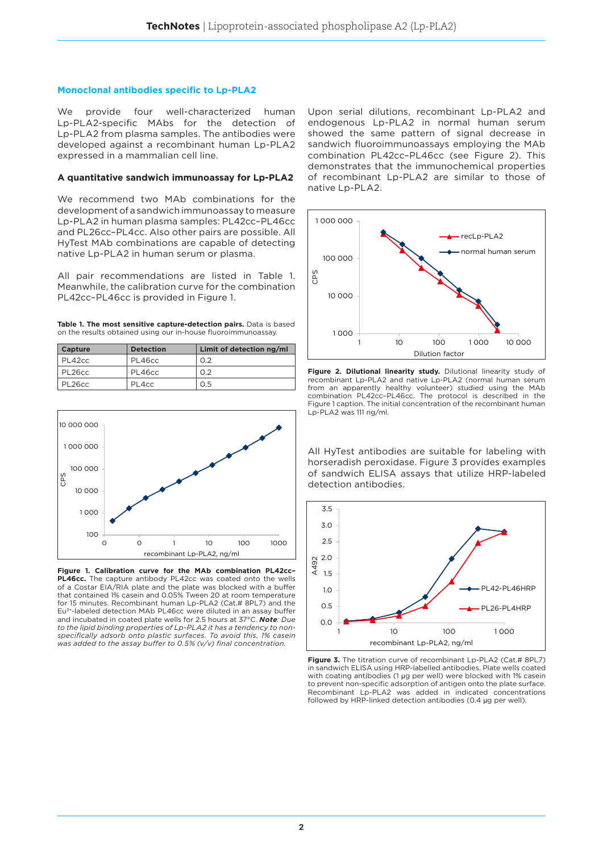#### **Monoclonal antibodies specific to Lp-PLA2**

We provide four well-characterized human Lp-PLA2-specific MAbs for the detection of Lp-PLA2 from plasma samples. The antibodies were developed against a recombinant human Lp-PLA2 expressed in a mammalian cell line.

#### **A quantitative sandwich immunoassay for Lp-PLA2**

We recommend two MAb combinations for the development of a sandwich immunoassay to measure Lp-PLA2 in human plasma samples: PL42cc–PL46cc and PL26cc–PL4cc. Also other pairs are possible. All HyTest MAb combinations are capable of detecting native Lp-PLA2 in human serum or plasma.

All pair recommendations are listed in Table 1. Meanwhile, the calibration curve for the combination PL42cc–PL46cc is provided in Figure 1.

**Table 1. The most sensitive capture-detection pairs.** Data is based on the results obtained using our in-house fluoroimmunoassay.

| Capture | <b>Detection</b> | Limit of detection ng/ml |
|---------|------------------|--------------------------|
| PL42cc  | PL46cc           | 0.2                      |
| PL26cc  | PL46cc           | 0.2                      |
| PL26cc  | PL4cc            | 0.5                      |



**Figure 1. Calibration curve for the MAb combination PL42cc– PL46cc.** The capture antibody PL42cc was coated onto the wells of a Costar EIA/RIA plate and the plate was blocked with a buffer that contained 1% casein and 0.05% Tween 20 at room temperature for 15 minutes. Recombinant human Lp-PLA2 (Cat # 8PL7) and the Eu3+-labeled detection MAb PL46cc were diluted in an assay buffer and incubated in coated plate wells for 2.5 hours at 37°C. *Note: Due to the lipid binding properties of Lp-PLA2 it has a tendency to nonspecifically adsorb onto plastic surfaces. To avoid this, 1% casein was added to the assay buffer to 0.5% (v/v) final concentration.*

Upon serial dilutions, recombinant Lp-PLA2 and endogenous Lp-PLA2 in normal human serum showed the same pattern of signal decrease in sandwich fluoroimmunoassays employing the MAb combination PL42cc–PL46cc (see Figure 2). This demonstrates that the immunochemical properties of recombinant Lp-PLA2 are similar to those of native Lp-PLA2.



**Figure 2. Dilutional linearity study.** Dilutional linearity study of recombinant Lp-PLA2 and native Lp-PLA2 (normal human serum from an apparently healthy volunteer) studied using the MAb combination PL42cc–PL46cc. The protocol is described in the Figure 1 caption. The initial concentration of the recombinant human Lp-PLA2 was 111 ng/ml.

All HyTest antibodies are suitable for labeling with horseradish peroxidase. Figure 3 provides examples of sandwich ELISA assays that utilize HRP-labeled detection antibodies.



**Figure 3.** The titration curve of recombinant Lp-PLA2 (Cat.# 8PL7) in sandwich ELISA using HRP-labelled antibodies. Plate wells coated with coating antibodies (1 µg per well) were blocked with 1% casein to prevent non-specific adsorption of antigen onto the plate surface. Recombinant Lp-PLA2 was added in indicated concentrations followed by HRP-linked detection antibodies (0.4 µg per well).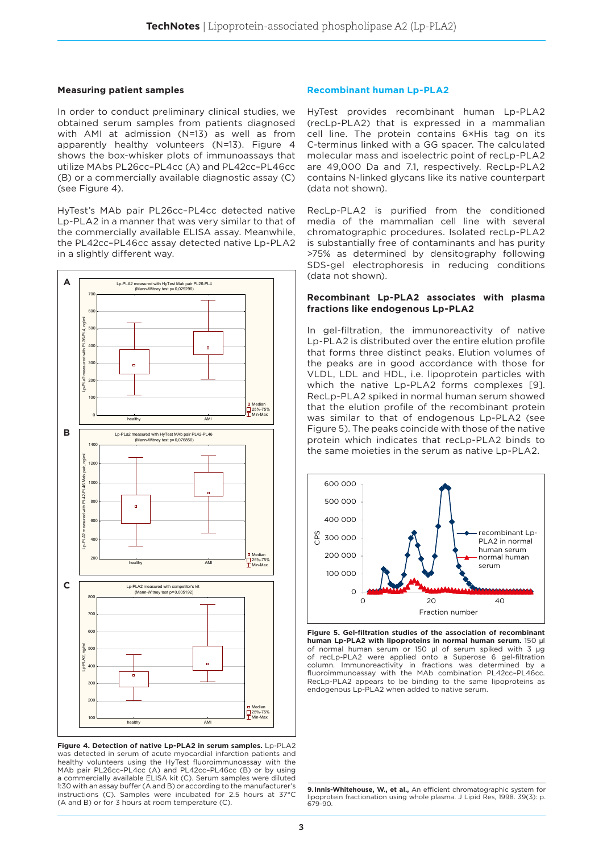#### **Measuring patient samples**

In order to conduct preliminary clinical studies, we obtained serum samples from patients diagnosed with AMI at admission (N=13) as well as from apparently healthy volunteers (N=13). Figure 4 shows the box-whisker plots of immunoassays that utilize MAbs PL26cc–PL4cc (A) and PL42cc–PL46cc (B) or a commercially available diagnostic assay (C) (see Figure 4).

HyTest's MAb pair PL26cc–PL4cc detected native Lp-PLA2 in a manner that was very similar to that of the commercially available ELISA assay. Meanwhile, the PL42cc–PL46cc assay detected native Lp-PLA2 in a slightly different way.



**Figure 4. Detection of native Lp-PLA2 in serum samples.** Lp-PLA2 was detected in serum of acute myocardial infarction patients and healthy volunteers using the HyTest fluoroimmunoassay with the MAb pair PL26cc–PL4cc (A) and PL42cc–PL46cc (B) or by using a commercially available ELISA kit (C). Serum samples were diluted 1:30 with an assay buffer (A and B) or according to the manufacturer's instructions (C). Samples were incubated for 2.5 hours at 37°C (A and B) or for 3 hours at room temperature (C).

#### **Recombinant human Lp-PLA2**

HyTest provides recombinant human Lp-PLA2 (recLp-PLA2) that is expressed in a mammalian cell line. The protein contains 6×His tag on its C-terminus linked with a GG spacer. The calculated molecular mass and isoelectric point of recLp-PLA2 are 49,000 Da and 7.1, respectively. RecLp-PLA2 contains N-linked glycans like its native counterpart (data not shown).

RecLp-PLA2 is purified from the conditioned media of the mammalian cell line with several chromatographic procedures. Isolated recLp-PLA2 is substantially free of contaminants and has purity >75% as determined by densitography following SDS-gel electrophoresis in reducing conditions (data not shown).

#### **Recombinant Lp-PLA2 associates with plasma fractions like endogenous Lp-PLA2**

In gel-filtration, the immunoreactivity of native Lp-PLA2 is distributed over the entire elution profile that forms three distinct peaks. Elution volumes of the peaks are in good accordance with those for VLDL, LDL and HDL, i.e. lipoprotein particles with which the native Lp-PLA2 forms complexes [9]. RecLp-PLA2 spiked in normal human serum showed that the elution profile of the recombinant protein was similar to that of endogenous Lp-PLA2 (see Figure 5). The peaks coincide with those of the native protein which indicates that recLp-PLA2 binds to the same moieties in the serum as native Lp-PLA2.



**Figure 5. Gel-filtration studies of the association of recombinant human Lp-PLA2 with lipoproteins in normal human serum.** 150 µl of normal human serum or 150 µl of serum spiked with 3 µg of recLp-PLA2 were applied onto a Superose 6 gel-filtration column. Immunoreactivity in fractions was determined by a fluoroimmunoassay with the MAb combination PL42cc–PL46cc. RecLp-PLA2 appears to be binding to the same lipoproteins as endogenous Lp-PLA2 when added to native serum.

**<sup>9.</sup>Innis-Whitehouse, W., et al.,** An efficient chromatographic system for lipoprotein fractionation using whole plasma. J Lipid Res, 1998. 39(3): p. 679-90.